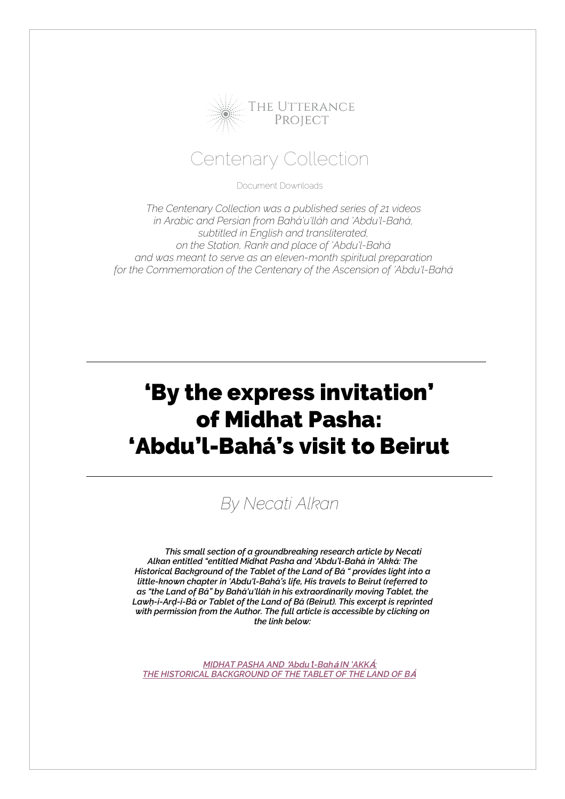

#### Centenary Collection

Document Downloads

*The Centenary Collection was a published series of 21 videos in Arabic and Persian from Bahá'u'lláh and 'Abdu'l-Bahá, subtitled in English and transliterated, on the Station, Rank and place of 'Abdu'l-Bahá and was meant to serve as an eleven-month spiritual preparation for the Commemoration of the Centenary of the Ascension of 'Abdu'l-Bahá*

## 'By the express invitation' of Midhat Pasha: 'Abdu'l-Bahá's visit to Beirut

### *By Necati Alkan*

*This small section of a groundbreaking research article by Necati Alkan entitled "entitled Midhat Pasha and 'Abdu'l-Bahá in 'Akká: The Historical Background of the Tablet of the Land of Bá " provides light into a little-known chapter in 'Abdu'l-Bahá's life, His travels to Beirut (referred to as "the Land of Bá" by Bahá'u'lláh in his extraordinarily moving Tablet, the Lawḥ-i-Arḍ-i-Bá or Tablet of the Land of Bá (Beirut). This excerpt is reprinted with permission from the Author. The full article is accessible by clicking on the link below:* 

*MIDHAT PASHA AND* **'***Abdu***'***l-Bah***<sup>á</sup>** *IN 'AKK***Á***: THE HISTORICAL BACKGROUND OF THE TABLET OF THE LAND OF B***Á**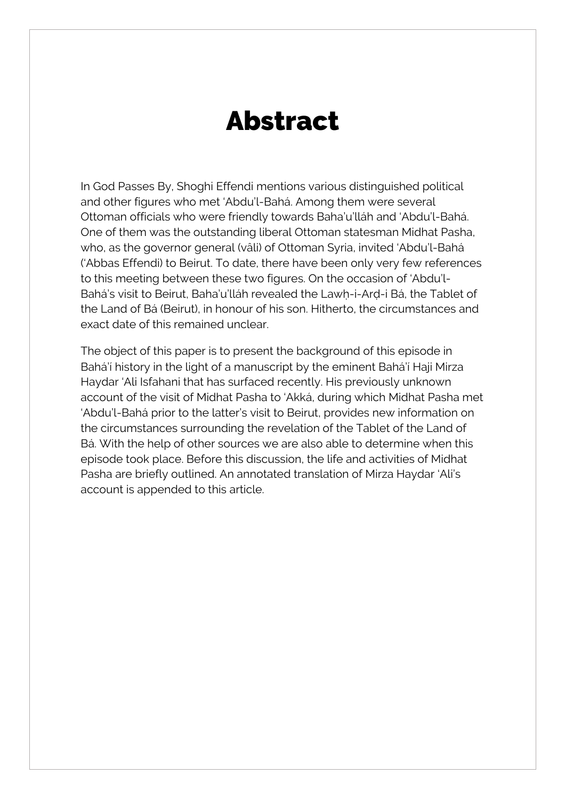# Abstract

In God Passes By, Shoghi Effendi mentions various distinguished political and other figures who met 'Abdu'l-Bahá. Among them were several Ottoman officials who were friendly towards Baha'u'lláh and 'Abdu'l-Bahá. One of them was the outstanding liberal Ottoman statesman Midhat Pasha, who, as the governor general (vâli) of Ottoman Syria, invited 'Abdu'l-Bahá ('Abbas Effendi) to Beirut. To date, there have been only very few references to this meeting between these two figures. On the occasion of 'Abdu'l-Bahá's visit to Beirut, Baha'u'lláh revealed the Lawh-i-Ard-i Bá, the Tablet of the Land of Bá (Beirut), in honour of his son. Hitherto, the circumstances and exact date of this remained unclear.

The object of this paper is to present the background of this episode in Bahá'í history in the light of a manuscript by the eminent Bahá'í Haji Mirza Haydar 'Ali Isfahani that has surfaced recently. His previously unknown account of the visit of Midhat Pasha to 'Akká, during which Midhat Pasha met 'Abdu'l-Bahá prior to the latter's visit to Beirut, provides new information on the circumstances surrounding the revelation of the Tablet of the Land of Bá. With the help of other sources we are also able to determine when this episode took place. Before this discussion, the life and activities of Midhat Pasha are briefly outlined. An annotated translation of Mirza Haydar 'Ali's account is appended to this article.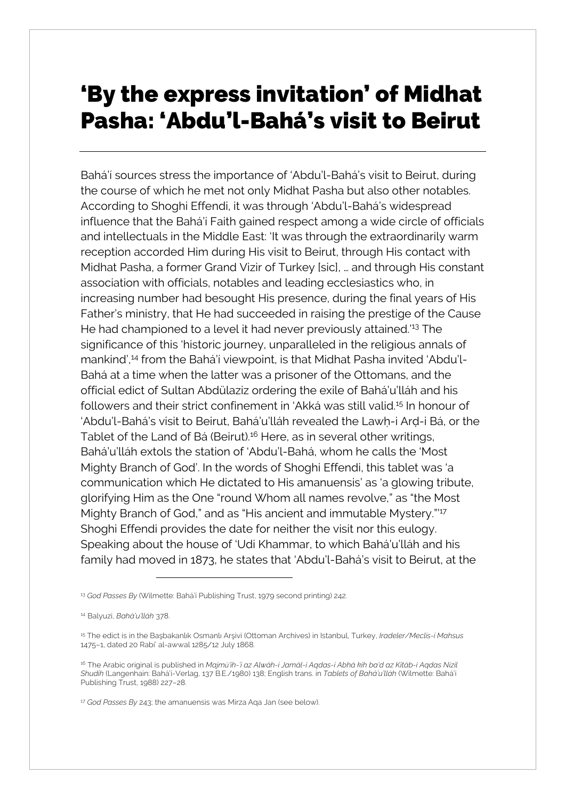## 'By the express invitation' of Midhat Pasha: 'Abdu'l-Bahá's visit to Beirut

Bahá'í sources stress the importance of 'Abdu'l-Bahá's visit to Beirut, during the course of which he met not only Midhat Pasha but also other notables. According to Shoghi Effendi, it was through 'Abdu'l-Bahá's widespread influence that the Bahá'í Faith gained respect among a wide circle of officials and intellectuals in the Middle East: 'It was through the extraordinarily warm reception accorded Him during His visit to Beirut, through His contact with Midhat Pasha, a former Grand Vizir of Turkey [sic], … and through His constant association with officials, notables and leading ecclesiastics who, in increasing number had besought His presence, during the final years of His Father's ministry, that He had succeeded in raising the prestige of the Cause He had championed to a level it had never previously attained.<sup>'13</sup> The significance of this 'historic journey, unparalleled in the religious annals of mankind',14 from the Bahá'í viewpoint, is that Midhat Pasha invited 'Abdu'l-Bahá at a time when the latter was a prisoner of the Ottomans, and the official edict of Sultan Abdülaziz ordering the exile of Bahá'u'lláh and his followers and their strict confinement in 'Akká was still valid.15 In honour of 'Abdu'l-Bahá's visit to Beirut, Bahá'u'lláh revealed the Lawḥ-i Arḍ-i Bá, or the Tablet of the Land of Bá (Beirut).<sup>16</sup> Here, as in several other writings, Bahá'u'lláh extols the station of 'Abdu'l-Bahá, whom he calls the 'Most Mighty Branch of God'. In the words of Shoghi Effendi, this tablet was 'a communication which He dictated to His amanuensis' as 'a glowing tribute, glorifying Him as the One "round Whom all names revolve," as "the Most Mighty Branch of God," and as "His ancient and immutable Mystery."<sup>17</sup> Shoghi Effendi provides the date for neither the visit nor this eulogy. Speaking about the house of 'Udi Khammar, to which Bahá'u'lláh and his family had moved in 1873, he states that 'Abdu'l-Bahá's visit to Beirut, at the

<sup>13</sup> *God Passes By* (Wilmette: Bahá'í Publishing Trust, 1979 second printing) 242.

<sup>14</sup> Balyuzi, *Bahá'u'lláh* 378.

<sup>15</sup> The edict is in the Başbakanlık Osmanlı Arşivi (Ottoman Archives) in Istanbul, Turkey, *Iradeler/Meclis-i Mahsus* 1475–1, dated 20 Rabi' al-awwal 1285/12 July 1868.

<sup>16</sup> The Arabic original is published in *Majmú'ih-'í az Alwáh-i Jamál-i Aqdas-i Abhá kih ba'd az Kitáb-i Aqdas N¡zil Shudih* (Langenhain: Bahá'í-Verlag, 137 B.E./1980) 138; English trans. in *Tablets of Bahá'u'lláh* (Wilmette: Bahá'í Publishing Trust, 1988) 227–28.

<sup>17</sup> *God Passes By* 243; the amanuensis was Mirza Aqa Jan (see below).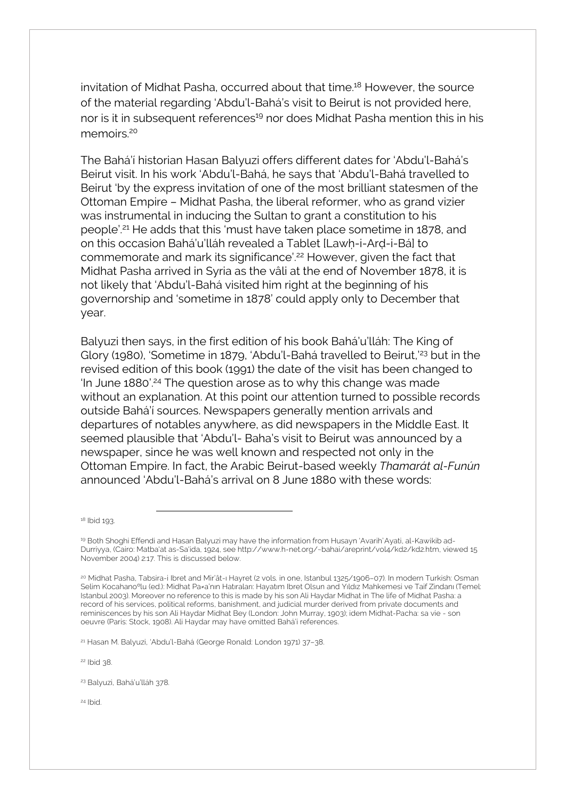invitation of Midhat Pasha, occurred about that time.<sup>18</sup> However, the source of the material regarding 'Abdu'l-Bahá's visit to Beirut is not provided here, nor is it in subsequent references<sup>19</sup> nor does Midhat Pasha mention this in his memoirs<sup>20</sup>

The Bahá'í historian Hasan Balyuzi offers different dates for 'Abdu'l-Bahá's Beirut visit. In his work 'Abdu'l-Bahá, he says that 'Abdu'l-Bahá travelled to Beirut 'by the express invitation of one of the most brilliant statesmen of the Ottoman Empire – Midhat Pasha, the liberal reformer, who as grand vizier was instrumental in inducing the Sultan to grant a constitution to his people'.21 He adds that this 'must have taken place sometime in 1878, and on this occasion Bahá'u'lláh revealed a Tablet [Lawḥ-i-Arḍ-i-Bá] to commemorate and mark its significance<sup>'', 22</sup> However, given the fact that Midhat Pasha arrived in Syria as the vâli at the end of November 1878, it is not likely that 'Abdu'l-Bahá visited him right at the beginning of his governorship and 'sometime in 1878' could apply only to December that year.

Balyuzi then says, in the first edition of his book Bahá'u'lláh: The King of Glory (1980), 'Sometime in 1879, 'Abdu'l-Bahá travelled to Beirut,<sup>'23</sup> but in the revised edition of this book (1991) the date of the visit has been changed to 'In June 1880'.<sup>24</sup> The question arose as to why this change was made without an explanation. At this point our attention turned to possible records outside Bahá'í sources. Newspapers generally mention arrivals and departures of notables anywhere, as did newspapers in the Middle East. It seemed plausible that 'Abdu'l- Baha's visit to Beirut was announced by a newspaper, since he was well known and respected not only in the Ottoman Empire. In fact, the Arabic Beirut-based weekly *Thamarát al-Funún* announced 'Abdu'l-Bahá's arrival on 8 June 1880 with these words:

<sup>18</sup> Ibid 193.

<sup>21</sup> Hasan M. Balyuzi, 'Abdu'l-Bahá (George Ronald: London 1971) 37–38.

<sup>22</sup> Ibid 38.

<sup>23</sup> Balyuzi, Bahá'u'lláh 378.

<sup>24</sup> Ibid.

<sup>19</sup> Both Shoghi Effendi and Hasan Balyuzi may have the information from Husayn 'Avarih' Ayati, al-Kawikib ad-Durriyya, (Cairo: Matba'at as-Sa'ida, 1924, see http://www.h-net.org/~bahai/areprint/vol4/kd2/kd2.htm, viewed 15 November 2004) 2:17. This is discussed below.

<sup>20</sup> Midhat Pasha, Tabsira-i Ibret and Mir'ât-ı Hayret (2 vols. in one, Istanbul 1325/1906–07). In modern Turkish: Osman Selim Kocahanoºlu (ed.): Midhat Pa≠a'nın Hatıraları: Hayatım Ibret Olsun and Yıldız Mahkemesi ve Taif Zindanı (Temel: Istanbul 2003). Moreover no reference to this is made by his son Ali Haydar Midhat in The life of Midhat Pasha: a record of his services, political reforms, banishment, and judicial murder derived from private documents and reminiscences by his son Ali Haydar Midhat Bey (London: John Murray, 1903); idem Midhat-Pacha: sa vie - son oeuvre (Paris: Stock, 1908). Ali Haydar may have omitted Bahá'í references.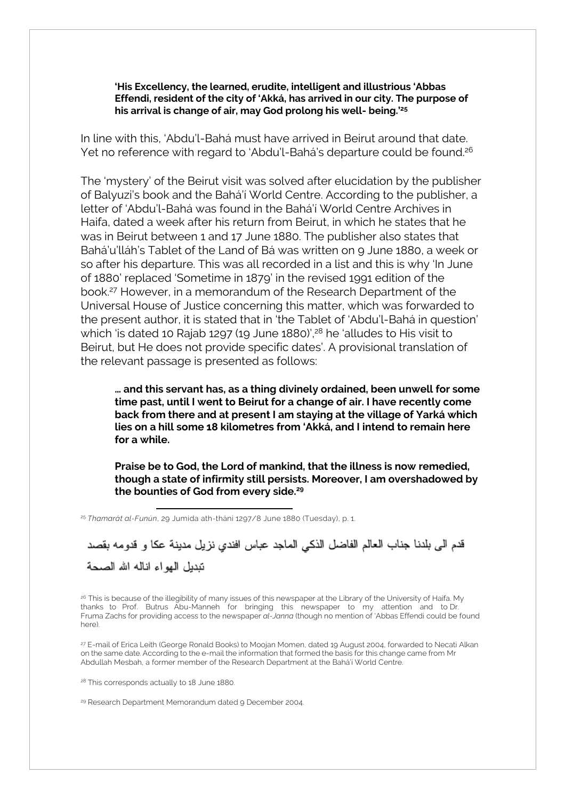**'His Excellency, the learned, erudite, intelligent and illustrious 'Abbas Effendi, resident of the city of 'Akká, has arrived in our city. The purpose of his arrival is change of air, may God prolong his well- being.'25**

In line with this, 'Abdu'l-Bahá must have arrived in Beirut around that date. Yet no reference with regard to 'Abdu'l-Bahá's departure could be found.<sup>26</sup>

The 'mystery' of the Beirut visit was solved after elucidation by the publisher of Balyuzi's book and the Bahá'í World Centre. According to the publisher, a letter of 'Abdu'l-Bahá was found in the Bahá'í World Centre Archives in Haifa, dated a week after his return from Beirut, in which he states that he was in Beirut between 1 and 17 June 1880. The publisher also states that Bahá'u'lláh's Tablet of the Land of Bá was written on 9 June 1880, a week or so after his departure. This was all recorded in a list and this is why 'In June of 1880' replaced 'Sometime in 1879' in the revised 1991 edition of the book.27 However, in a memorandum of the Research Department of the Universal House of Justice concerning this matter, which was forwarded to the present author, it is stated that in 'the Tablet of 'Abdu'l-Bahá in question' which 'is dated 10 Rajab 1297 (19 June 1880)',<sup>28</sup> he 'alludes to His visit to Beirut, but He does not provide specific dates'. A provisional translation of the relevant passage is presented as follows:

**… and this servant has, as a thing divinely ordained, been unwell for some time past, until I went to Beirut for a change of air. I have recently come back from there and at present I am staying at the village of Yarká which lies on a hill some 18 kilometres from 'Akká, and I intend to remain here for a while.**

**Praise be to God, the Lord of mankind, that the illness is now remedied, though a state of infirmity still persists. Moreover, I am overshadowed by the bounties of God from every side.29**

<sup>25</sup> Thamarát al-Funún, 29 Jumida ath-thání 1297/8 June 1880 (Tuesday), p. 1.

قدم الى بلدنا جناب العالم الفاضل الذكي الماجد عباس افندي نزيل مدينة عكا و قدومه بقصد نندبل الهواء اناله الله الصحة

<sup>26</sup> This is because of the illegibility of many issues of this newspaper at the Library of the University of Haifa. My thanks to Prof. Butrus Abu-Manneh for bringing this newspaper to my attention and to Dr. Fruma Zachs for providing access to the newspaper *al-Janna* (though no mention of 'Abbas Effendi could be found here).

<sup>27</sup> E-mail of Erica Leith (George Ronald Books) to Moojan Momen, dated 19 August 2004, forwarded to Necati Alkan on the same date. According to the e-mail the information that formed the basis for this change came from Mr Abdullah Mesbah, a former member of the Research Department at the Bahá'í World Centre.

<sup>28</sup> This corresponds actually to 18 June 1880.

<sup>29</sup> Research Department Memorandum dated 9 December 2004.